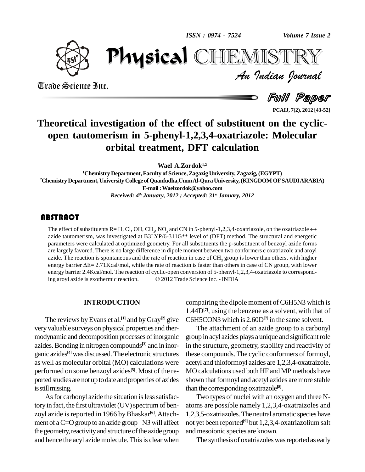*ISSN : 0974 - 7524*



Trade Science Inc.

Trade Science Inc.

*Volume 7 Issue 2*<br>IISTRY<br>Indian Iournal PhysicalHEMISTRY

Full Paper

**PCAIJ, 7(2), 2012 [43-52]**

## **Theoretical investigation of the effect of substituent on the cyclic open tautomerism in 5-phenyl-1,2,3,4-oxatriazole: Molecular orbital treatment, DFT calculation**

**Wael A.Zordok 1,2**

**<sup>1</sup>Chemistry Department,Faculty of Science,Zagazig University,Zagazig,(EGYPT) <sup>2</sup>Chemistry Department,University College ofQuanfudha,UmmAl-Qura University,(KINGDOM OFSAUDIARABIA) E-mail:[Waelzordok@yahoo.com](mailto:Waelzordok@yahoo.com)** *Received: 4 th January, 2012 ; Accepted: 31 st January, 2012*

## **ABSTRACT**

The effect of substituents I<br>azide tautomerism, was in<br>parameters were calculate **35TRACT**<br>The effect of substituents R= H, Cl, OH, CH<sub>3</sub>, NO<sub>2</sub> and CN in 5-phenyl-1,2,3,4-oxatriazole, on the oxatriazole  $\leftrightarrow$ azide tautomerism, was investigated at B3LYP/6-311G\*\* level of (DFT) method. The structural and energetic parameters were calculated at optimized geometry. For all substituents the p-substituent of benzoyl azide forms are largely favored. There is no large difference in dipole moment between two conformers c oxatriazole and aroyl azide. The reaction is spontaneous and the rate of reaction in case of CH<sub>3</sub> group is lower than others, with higher energy barrier  $\Delta E = 2.71$ Kcal/mol, while the rate of reaction is faster than others in case of CN group, with lower energy barrier 2.4Kcal/mol. The reaction of cyclic-open conversion of 5-phenyl-1,2,3,4-oxatriazole to correspondenergy barrier  $\Delta E = 2.71$ Kcal/mol, while the rate of reaction is faster than others in case of Cl<br>energy barrier 2.4Kcal/mol. The reaction of cyclic-open conversion of 5-phenyl-1,2,3,4-oxatria<br>ing aroyl azide is exothermi

#### **INTRODUCTION**

The reviews by Evans et al.<sup>[1]</sup> and by Gray<sup>[2]</sup> give C6H5 very valuable surveys on physical properties and ther modynamic and decomposition processes of inorganic azides. Bonding in nitrogen compounds<sup>[3]</sup> and in inor- in the ganic azides<sup>[4]</sup> was discussed. The electronic structures these as well as molecular orbital (MO) calculations were performed on some benzoyl azides **[5]**. Most of the re ported studies are not up to date and properties of azides is still missing.

As for carbonyl azide the situation is less satisfactory in fact, the first ultraviolet (UV) spectrum of benzoyl azide is reported in 1966 by Bhaskar<sup>[6]</sup>. Attach- 1,2, ment of a  $C=O$  group to an azide group  $-N3$  will affect the geometry, reactivity and structure of the azide group and hence the acyl azide molecule. This is clear when

compairing the dipole moment of C6H5N3 which is 1.44D**[7]**, using the benzene as a solvent, with that of C6H5CON3 which is 2.60D<sup>[7]</sup> in the same solvent.

The attachment of an azide group to a carbonyl group in acyl azides plays a unique and significantrole in the structure, geometry, stability and reactivity of these compounds. The cyclic conformers of formoyl, acetyl and thioformoyl azides are 1,2,3,4-oxatraizole. MO calculations used both HF and MP methods have shown that formoyl and acetyl azides are more stable than the corresponding oxatrazole **[8]**.

Two types of nuclei with an oxygen and three N atoms are possible namely 1,2,3,4-oxatraizoles and 1,2,3,5-oxatriazoles.The neutral aromatic species have not yet been reported **[9]** but 1,2,3,4-oxatriazolium salt and mesoionic species are known.

The synthesis of oxatriazoles was reported as early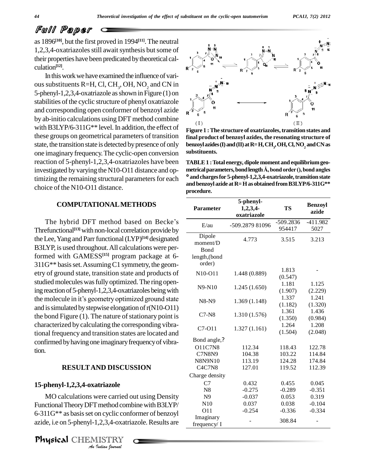as 1896 **[10]**, but the first proved in 1994 **[11]**.The neutral 1,2,3,4-oxatriazoles still await synthesis but some of their properties have been predicated by theoretical calculation **[12]**.

In this work we have examined the influence of various substituents R=H, Cl, CH<sub>3</sub>, OH, NO<sub>2</sub> and CN in 5-phenyl-1,2,3,4-oxatriazole asshown in Figure (1) on stabilities of the cyclic structure of phenyl oxatriazole and corresponding open conformer of benzoyl azide by ab-initio calculations using DFT method combine with B3LYP/6-311G\*\* level. In addition, the effect of these groups on geometrical parameters of transition state, the transition state is detected by presence of only one imaginary frequency.The cyclic-open conversion reaction of 5-phenyl-1,2,3,4-oxatriazoles have been investigated by varying the N10-O11 distance and op- metrical parameters, bond length Å, bond order (), bond angles timizing the remaining structural parameters for each choice of the N10-O11 distance.

#### **COMPUTATIONALMETHODS**

The hybrid DFT method based on Becke's Threfunctional<sup>[13]</sup> with non-local correlation provide by theLee,Yang and Parrfunctional(LYP) **[14]** designated B3LYP, is used throughout.All calculations were performed with GAMESS **[15]** program package at 6-  $311G**$  basis set. Assuming C1 symmetry, the geometry of ground state, transition state and products of studied molecules was fully optimized. The ring opening reaction of 5-phenyl-1,2,3,4-oxatriazoles being with studied molecules was fully optimized. The ring open-<br>ing reaction of 5-phenyl-1,2,3,4-oxatriazoles being with<br>the molecule in it's geometry optimized ground state and is simulated by stepwise elongation of  $r(N10-O11)$ the bond Figure  $(1)$ . The nature of stationary point is characterized by calculating the corresponding vibrational frequency and transition states are located and confirmed by having one imaginary frequency of vibration.

#### **RESULTAND DISCUSSION**

### **15-phenyl-1,2,3,4-oxatriazole**

*An*MO calculations were carried out using Density *I* method com<br>*In* cyclic con<br>1,2,3,4-oxatri<br>IISTRY<br>*Indian Iournal* Functional Theory DFT method combine with B3LYP/ 6-311G\*\* as basisset on cyclic conformer of benzoyl azide, i.e on 5-phenyl-1,2,3,4-oxatriazole. Results are  $\frac{m}{\text{freq}}$ 



**Figure 1 :The structure of oxatriazoles,transition states and final product of benzoyl azides, the resonating structure of benzoylazides(I)and(II)atR=H,CH<sup>3</sup> ,OH,Cl,NO<sup>2</sup> andCNas substituents.**

**TABLE1 :Total energy, dipole moment and equilibriumgeo metrical parameters, dipole moment and equilibrium geometrical parameters, bond length**  $\AA$ **, bond order (), bond angles<br>
<b>°** and charges for 5-phenyl-1 2 3 4-ovatriazole, transition state <sup>o</sup> and charges for 5-phenyl-1,2,3,4-oxatriazole, transition state **and benzoyl azide atR=Has obtainedfromB3LYP/6-311G\*\* procedure.**

| <b>Parameter</b>                                              | 5-phenyl-<br>1,2,3,4<br>oxatriazole | <b>TS</b>             | <b>Benzoyl</b><br>azide |
|---------------------------------------------------------------|-------------------------------------|-----------------------|-------------------------|
| E/au                                                          | -509.2879 81096                     | $-509.2836$<br>954417 | $-411.982$<br>5027      |
| Dipole<br>moment/D<br><b>B</b> ond<br>length, (bond<br>order) | 4.773                               | 3.515                 | 3.213                   |
| N10-O11                                                       | 1.448 (0.889)                       | 1.813<br>(0.547)      |                         |
| $N9-N10$                                                      | 1.245(1.650)                        | 1.181<br>(1.907)      | 1.125<br>(2.229)        |
| N8-N9                                                         | 1.369(1.148)                        | 1.337<br>(1.182)      | 1.241<br>(1.320)        |
| $C7-N8$                                                       | 1.310 (1.576)                       | 1.361<br>(1.350)      | 1.436<br>(0.984)        |
| C7-011                                                        | 1.327(1.161)                        | 1.264<br>(1.504)      | 1.208<br>(2.048)        |
| Bond angle,?                                                  |                                     |                       |                         |
| <b>O11C7N8</b>                                                | 112.34                              | 118.43                | 122.78                  |
| <b>C7N8N9</b>                                                 | 104.38                              | 103.22                | 114.84                  |
| <b>N8N9N10</b>                                                | 113.19                              | 124.28                | 174.84                  |
| <b>C4C7N8</b>                                                 | 127.01                              | 119.52                | 112.39                  |
| Charge density                                                |                                     |                       |                         |
| C7                                                            | 0.432                               | 0.455                 | 0.045                   |
| N8                                                            | $-0.275$                            | $-0.289$              | $-0.351$                |
| N <sub>9</sub>                                                | $-0.037$                            | 0.053                 | 0.319                   |
| N10                                                           | 0.037                               | 0.038                 | $-0.104$                |
| 011                                                           | $-0.254$                            | $-0.336$              | $-0.334$                |
| Imaginary<br>frequency/ I                                     |                                     | 308.84                |                         |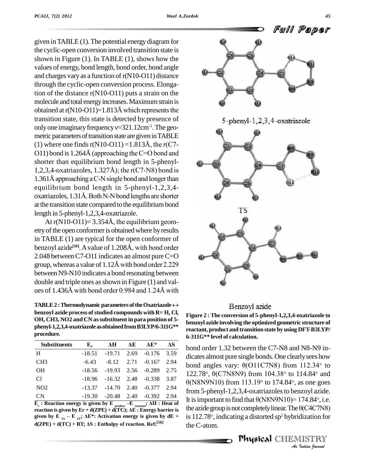given inTABLE (1).The potential energy diagram for the cyclic-open conversion involved transition state is shown in Figure (1). In TABLE (1), shows how the values of energy, bond length, bond order, bond angle and charges vary as a function of  $r(N10-011)$  distance through the cyclic-open conversion process. Elongation of the distance r(N10-O11) puts a strain on the molecule and total energy increases. Maximum strain is obtained at  $r(N10-011)=1.813\text{\AA}$  which represents the transition state, this state is detected by presence of only one imaginary frequency  $v=321.12$ cm<sup>-1</sup>. The geometric parameters of transition state are given in TABLE only one imaginary frequency  $v=321.12 \text{cm}^{-1}$ . The geometric parameters of transition state are given in TABLE<br>(1) where one finds r(N10-O11) =1.813Å, the r(C7metric parameters of transition state are given in TABLE<br>(1) where one finds r(N10-O11) =1.813Å, the r(C7-<br>O11) bond is 1.264Å (approaching the C=O bond and shorter than equilibrium bond length in 5-phenyl- 011) bond is 1.264Å (approaching the C=O bond and<br>shorter than equilibrium bond length in 5-phenyl-<br>1,2,3,4-oxatriazoles, 1.327Å); the r(C7-N8) bond is shorter than equilibrium bond length in 5-phenyl-<br>1,2,3,4-oxatriazoles, 1.327Å); the r(C7-N8) bond is<br>1.361Å approaching a C-N single bond and longer than equilibrium bond length in 5-phenyl-1,2,3,4- 1.361Å approaching a C-N single bond and longer than<br>equilibrium bond length in 5-phenyl-1,2,3,4-<br>oxatriazoles, 1.31Å. Both N-N bond lengths are shorter at the transition state compared to the equilibrium bond<br>length in 5-phenyl-1,2,3,4-oxatriazole.<br>At r(N10-O11)= 3.354Å, the equilibrium geomlength in 5-phenyl-1,2,3,4-oxatriazole.

etry of the open conformer is obtained where by results in TABLE (1) are typical for the open conformer of etry of the open conformer is obtained where by results<br>in TABLE (1) are typical for the open conformer of<br>benzoyl azide<sup>[16]</sup>. A value of 1.208Å, with bond order 2.048 between C7-O11 indicates an almost pure C=O benzoyl azide<sup>[16]</sup>. A value of 1.208Å, with bond order<br>2.048 between C7-O11 indicates an almost pure C=O<br>group, whereas a value of 1.12Å with bond order 2.229 between N9-N10 indicates a bond resonating between double and triple ones asshown in Figure (1) and val between N9-N10 indicates a bond resonating between<br>double and triple ones as shown in Figure (1) and val-<br>ues of 1.436Å with bond order 0.984 and 1.24Å with **TABLE 2 :** Thermodynamic parameters of the Oxatriazole  $\leftrightarrow$ 

**benzoyl** azide process of studied compounds with  $R=H$ , Cl, **OH, CH3, NO2 and CN assubstituent in para position of 5 phenyl-1,2,3,4-oxatriazole asobtainedfromB3LYP/6-311G\*\* procedure. Substituents E**<sub>r</sub>  $\Delta H$   $\Delta E$   $\Delta E^*$   $\Delta S$  **b b c c f** 

| <b>Substituents</b>                                                                                                          | ${\bf E}_r$ | ΔH                                | AЕ   | $\Delta E^*$ | ΔS   |
|------------------------------------------------------------------------------------------------------------------------------|-------------|-----------------------------------|------|--------------|------|
| H                                                                                                                            | $-18.51$    | $-19.71$                          | 2.69 | $-0.176$     | 3.59 |
| CH <sub>3</sub>                                                                                                              | $-6.43$     | $-8.12$                           | 2.71 | $-0.167$     | 2.94 |
| <b>OH</b>                                                                                                                    | $-18.56$    | $-19.93$ 2.56                     |      | $-0.289$     | 2.75 |
| Cl                                                                                                                           | -18.96      | $-16.32$ 2.48                     |      | $-0.338$     | 3.87 |
| NO <sub>2</sub>                                                                                                              |             | $-13.37$ $-14.70$ $2.40$ $-0.377$ |      |              | 2.94 |
| <b>CN</b>                                                                                                                    |             | $-19.30$ $-20.48$ $2.40$ $-0.392$ |      |              | 2.94 |
| $\overline{E}_r$ : Reaction energy is given by E <sub>product</sub> -E <sub>reactant</sub> ; $\overline{\Delta H}$ : Heat of |             |                                   |      |              |      |
| the a<br>reaction is given by $Er + d(ZPE) + d(TC)$ ; $\Delta E$ : Energy barrier is                                         |             |                                   |      |              |      |

 $\overline{\mathbf{F}}_r$ : Reaction energy is given by  $\mathbf{E}_{\text{product}} - \mathbf{E}_{\text{reactant}}$ ;  $\Delta \mathbf{H}$ : Heat of<br>reaction is given by  $\mathbf{E} \mathbf{r} + \mathbf{d}(\mathbf{ZPE}) + \mathbf{d}(\mathbf{TC})$ ;  $\Delta \mathbf{E}$ : Energy barrier is the az<br>given by  $\mathbf{E}_{\text{TS}} - \mathbf{E}_{\$ given by E<sub>TS</sub> - E<sub>ST</sub>;  $\Delta$ E<sup>\*</sup>: Activation energy is given by dE +  $d(ZPE) + d(TC) + RT$ ;  $\Delta S$ : Enthalpy of reaction. Ref;<sup>[16]</sup>



### Benzoyl azide

**Figure 2 : The conversion of 5-phenyl-1,2,3,4-oxatriazole to benzoyl azide involving the optimized geometric structure of reactant, product and transition state by using DFT-B3LYP/ 6-311G\*\* level of calculation.**

It is important to find that  $\theta$ (N8N9N10)= 174.84°, i.e. *ITA.84°, i.e.<br>0(CAC7N8)<br>dization for<br>1ISTRY<br><i>Indian hournal* bond order 1.32 between the C7-N8 and N8-N9 in dicates almost pure single bonds. One clearlysees how bond order 1.32 between the C7-N8 and N8-N9 in-<br>dicates almost pure single bonds. One clearly sees how<br>bond angles vary:  $\theta$ (O11C7N8) from 112.34° to dicates almost pure single bonds. One clearly sees how<br>bond angles vary:  $\theta$ (O11C7N8) from 112.34° to<br>122.78°,  $\theta$ (C7N8N9) from 104.38° to 114.84° and bond angles vary:  $\theta$ (O11C7N8) from 112.34° to 122.78°,  $\theta$ (C7N8N9) from 104.38° to 114.84° and  $\theta$ (N8N9N10) from 113.19° to 174.84°, as one goes from 5-phenyl-1,2,3,4-oxatriazoles to benzoyl azide.  $\theta$ (N8N9N10) from 113.19 $\degree$  to 174.84 $\degree$ , as one goes from 5-phenyl-1,2,3,4-oxatriazoles to benzoyl azide.<br>It is important to find that  $\theta$ (N8N9N10)= 174.84°, i.e.<br>the azide group is not completely linear. The  $\theta$ (C4C7N8) It is important to find that  $\theta$ (N8N9N10)=1/4<br>the azide group is not completely linear. The  $\theta$ (C<br>is 112.78°, indicating a distorted sp<sup>2</sup> hybridiz is 112.78 $\degree$ , indicating a distorted sp<sup>2</sup> hybridization for theC-atom.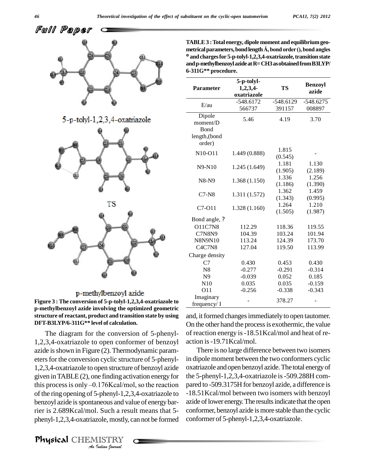

#### p-methylbenzoyl azide

**Figure 3 : The conversion of 5-p-tolyl-1,2,3,4-oxatriazole to p-methylbenzoyl azide involving the optimized geometric structure of reactant, product and transition state by using DFT-B3LYP/6-311G\*\* level of calculation.**

*Andre* of the ring opening of 5-phenyl-1,2,3,4-oxatriazole to  $-18.51$ *I*<br>Ineous and values and values<br>*I* Such a research<br>*I* Indian bournal The diagram for the conversion of 5-phenyl-1,2,3,4-oxatriazole to open conformer of benzoyl azide is shown in Figure (2). Thermodynamic parameters for the conversion cyclic structure of 5-phenyl-1,2,3,4-oxatriazole to open structure of benzoyl azide given in TABLE  $(2)$ , one finding activation energy for the 1,2,3,4-oxatriazole to open structure of benzoyl azide oxatria<br>given in TABLE (2), one finding activation energy for the 5-p<br>this process is only -0.176Kcal/mol, so the reaction pared to benzoyl azide is spontaneous and value of energy barrier is 2.689Kcal/mol. Such a result means that 5 phenyl-1,2,3,4-oxatriazole, mostly, can not be formed confor

Physical CHEMISTRY

| <b>Parameter</b>            | 5-p-tolyl-<br>1,2,3,4 | <b>TS</b>        | <b>Benzoyl</b><br>azide |
|-----------------------------|-----------------------|------------------|-------------------------|
|                             | oxatriazole           |                  |                         |
| E/au                        | $-548.6172$           | $-548.6129$      | $-548.6275$             |
|                             | 566737                | 391157           | 008897                  |
| Dipole<br>moment/D<br>Bond  | 5.46                  | 4.19             | 3.70                    |
| length, (bond<br>order)     |                       |                  |                         |
| N10-O11                     | 1.449 (0.888)         | 1.815<br>(0.545) |                         |
| $N9-N10$                    | 1.245 (1.649)         | 1.181<br>(1.905) | 1.130<br>(2.189)        |
| N8-N9                       | 1.368(1.150)          | 1.336<br>(1.186) | 1.256<br>(1.390)        |
| $C7-N8$                     | 1.311 (1.572)         | 1.362<br>(1.343) | 1.459<br>(0.995)        |
| C7-011                      | 1.328 (1.160)         | 1.264<br>(1.505) | 1.210<br>(1.987)        |
| Bond angle, ?               |                       |                  |                         |
| <b>O11C7N8</b>              | 112.29                | 118.36           | 119.55                  |
| <b>C7N8N9</b>               | 104.39                | 103.24           | 101.94                  |
| <b>N8N9N10</b>              | 113.24                | 124.39           | 173.70                  |
| <b>C4C7N8</b>               | 127.04                | 119.50           | 113.99                  |
| Charge density              |                       |                  |                         |
| C7                          | 0.430                 | 0.453            | 0.430                   |
| N <sub>8</sub>              | $-0.277$              | $-0.291$         | $-0.314$                |
| N <sub>9</sub>              | $-0.039$              | 0.052            | 0.185                   |
| N10                         | 0.035                 | 0.035            | $-0.159$                |
| 011                         | $-0.256$              | $-0.338$         | $-0.343$                |
| Imaginary<br>frequency/ $I$ |                       | 378.27           |                         |

and, it formed changes immediately to open tautomer. On the other hand the process is exothermic, the value of reaction energy is-18.51Kcal/mol and heat of re action is-19.71Kcal/mol.

There is no large difference between two isomers in dipole moment between the two conformers cyclic oxatriazole andopen benzoyl azide.The total energyof the 5-phenyl-1,2,3,4-oxatriazole is-509.288H com pared to -509.3175H for benzoyl azide, a difference is -18.51Kcal/mol between two isomers with benzoyl azide of lower energy. The results indicate that the open conformer, benzoyl azide is more stable than the cyclic conformer of 5-phenyl-1,2,3,4-oxatriazole.

**TABLE3 :Total energy, dipole moment and equilibriumgeo metrical parameters, bond length** Å, bond order (), bond angles **andchargesfor 5-p-tolyl-1,2,3,4-oxatriazole,transitionstate andp-methylbenzoylazideatR=CH3asobtainedfromB3LYP/**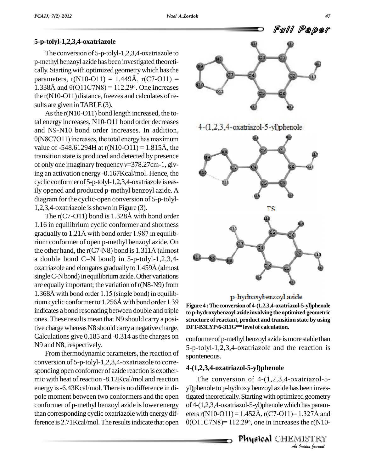### **5-p-tolyl-1,2,3,4-oxatriazole**

The conversion of 5-p-tolyl-1,2,3,4-oxatriazole to p-methyl benzoyl azide has been investigated theoreti cally. Starting with optimized geometry which has the p-methyl benzoyl azide has been investigated theoretically. Starting with optimized geometry which has the parameters,  $r(N10-O11) = 1.449\text{\AA}$ ,  $r(C7-O11) =$ parameters,  $r(N10-O11) = 1.449\text{\AA}$ ,  $r(C7-O11) = 1.338\text{\AA}$  and  $\theta(O11C7N8) = 112.29^{\circ}$ . One increases the  $r(N10-O11)$  distance, freezes and calculates of results are given in TABLE(3).

As the r(N10-O11) bond length increased, the total energy increases, N10-O11 bond order decreases<br>and N9-N10 bond order increases. In addition,<br> $\theta$ (N8C7O11) increases, the total energy has maximum and N9-N10 bond order increases. In addition,<br>  $\theta$ (N8C7O11) increases, the total energy has maximum<br>
value of -548.61294H at r(N10-O11) = 1.815Å, the transition state is produced and detected by presence of only one imaginary frequency *v*=378.27cm-1, giving an activation energy -0.167Kcal/mol. Hence, the cyclic conformer of 5-p-tolyl-1,2,3,4-oxatriazole is easily opened and produced p-methyl benzoyl azide.A diagram for the cyclic-open conversion of 5-p-tolyl- 1,2,3,4-oxatriazole isshown in Figure (3).

The r(C7-O11) bond is 1.328<sup>Å</sup> with bond order 1.16 in equilibrium cyclic conformer and shortness gradually to 1.21<sup>Å</sup> with bond order 1.987 in equilibrium conformer of open p-methyl benzoyl azide. On gradually to 1.21Å with bond order 1.987 in equilib-<br>rium conformer of open p-methyl benzoyl azide. On<br>the other hand, the r(C7-N8) bond is 1.311Å (almost a double bond C=N bond) in 5-p-tolyl-1,2,3,4 the other hand, the r(C7-N8) bond is  $1.311\text{\AA}$  (almost<br>a double bond C=N bond) in 5-p-tolyl-1,2,3,4-<br>oxatriazole and elongates gradually to 1.459Å (almost single C-N bond) in equilibrium azide. Other variations are equally important; the variation of  $r(N8-N9)$  from single C-N bond) in equilibrium azide. Other variations<br>are equally important; the variation of r(N8-N9) from<br>1.368Å with bond order 1.15 (single bond) in equilibare equally important; the variation of  $r(N8-N9)$  from<br>1.368Å with bond order 1.15 (single bond) in equilib-<br>rium cyclic conformer to 1.256Å with bond order 1.39 indicates a bond resonating between double and triple ones. These results mean that N9 should carry a positive charge whereas N8 should carry a negative charge. Calculations give 0.185 and -0.314 asthe charges on N9 and N8, respectively.

From thermodynamic parameters, the reaction of conversion of 5-p-tolyl-1,2,3,4-oxatriazole to corre sponding open conformer of azide reaction is exothermic with heat of reaction -8.12Kcal/mol and reaction energy is-6.43Kcal/mol. There is no difference in di-pole moment between two conformers and the open conformer of p-methyl benzoyl azide islower energy than corresponding cyclic oxatriazole with energydifference is 2.71Kcal/mol. The results indicate that open  $\theta$ (O11C7N8)= 112.29°, one in increases the r(N10-







p-hydroxybenzoyl azide

**Figure 4 :The conversionof 4-(1,2,3,4-oxatriazol-5-yl)phenole to p-hydroxybenzoyl azide involving the optimized geometric structure of reactant, product and transition state by using DFT-B3LYP/6-311G\*\* level of calculation.**

conformer of p-methyl benzoyl azide is more stable than 5-p-tolyl-1,2,3,4-oxatriazole and the reaction is sponteneous.

### **4-(1,2,3,4-oxatriazol-5-yl)phenole**

tigated theoretically. Starting with optimized geometry *I* diaparam-<br>1.327Å and<br>1.15TRY<br>IISTRY The conversion of 4-(1,2,3,4-oxatriazol-5 yl)phenole to p-hydroxy benzoyl azide has been invesof 4-(1,2,3,4-oxatriazol-5-yl)phenolewhich hasparam tigated theoretically. Starting with optimized geometry<br>of 4-(1,2,3,4-oxatriazol-5-yl)phenole which has parameters r(N10-O11) = 1.452Å, r(C7-O11)= 1.327Å and of 4-(1,2,3,4-oxatriazol-5-yl)phenole which has parameters r(N10-O11) = 1.452Å, r(C7-O11)= 1.327Å and<br>θ(O11C7N8)= 112.29°, one in increases the r(N10-

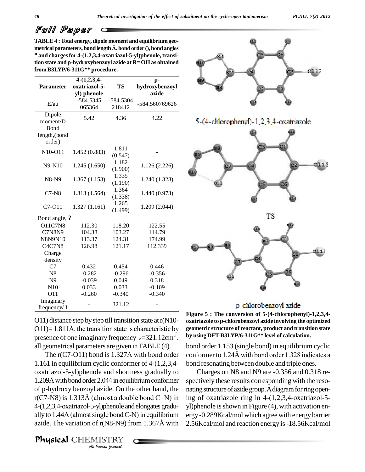**TABLE4 :Total energy, dipole moment and equilibriumgeo metrical parameters, bond length** Å, bond order (), bond angles **and chargesfor 4-(1,2,3,4-oxatriazol-5-yl)phenole, transition state and p-hydroxybenzoyl azide at R=OH as obtained fromB3LYP/6-311G\*\* procedure.**

|                                                       | $4-(1,2,3,4-$                |                     | p-                      |
|-------------------------------------------------------|------------------------------|---------------------|-------------------------|
| <b>Parameter</b>                                      | oxatriazol-5-<br>yl) phenole | TS                  | hydroxybenzoyl<br>azide |
| E/au                                                  | $-584.5345$<br>065364        | -584.5304<br>218412 | -584.560769626          |
| Dipole<br>moment/D<br>Bond<br>length, (bond<br>order) | 5.42                         | 4.36                | 4.22                    |
| N10-O11                                               | 1.452 (0.883)                | 1.811<br>(0.547)    |                         |
| N9-N10                                                | 1.245(1.650)                 | 1.182<br>(1.900)    | 1.126 (2.226)           |
| N8-N9                                                 | 1.367(1.153)                 | 1.335<br>(1.190)    | 1.240 (1.328)           |
| $C7-N8$                                               | 1.313 (1.564)                | 1.364<br>(1.338)    | 1.440 (0.973)           |
| C7-011                                                | 1.327(1.161)                 | 1.265<br>(1.499)    | 1.209 (2.044)           |
| Bond angle, ?                                         |                              |                     |                         |
| <b>O11C7N8</b>                                        | 112.30                       | 118.20              | 122.55                  |
| <b>C7N8N9</b>                                         | 104.38                       | 103.27              | 114.79                  |
| <b>N8N9N10</b>                                        | 113.37                       | 124.31              | 174.99                  |
| <b>C4C7N8</b>                                         | 126.98                       | 121.17              | 112.339                 |
| Charge                                                |                              |                     |                         |
| density                                               |                              |                     |                         |
| C7                                                    | 0.432                        | 0.454               | 0.446                   |
| N <sub>8</sub>                                        | $-0.282$                     | $-0.296$            | $-0.356$                |
| N <sub>9</sub>                                        | $-0.039$                     | 0.049               | 0.318                   |
| N10                                                   | 0.033                        | 0.033               | $-0.109$                |
| O11                                                   | $-0.260$                     | $-0.340$            | $-0.340$                |
| Imaginary<br>frequency/ I                             |                              | 321.12              |                         |

O11) distance step by step till transition state at  $r(N10 O(1)$ = 1.811Å, the transition state is characteristic by presence of one imaginary frequency*v*=321.12cm-1 all geometrical parameters are given inTABLE(4).

1.209Å with bond order 2.044 in equilibrium conformer spectiv<br>of p-hydroxy benzoyl azide. On the other hand, the nating s<br>r(C7-N8) is 1.313Å (almost a double bond C=N) in ing of *Indian Indian Indian Indian Indian Indian J Journal Indian Indian Indian Indian Indian Indian Indian Indian Indian Indian Indian Indian Indian bound* **C** *In the section of the* The r(C7-O11) bond is 1.327<sup>Å</sup> with bond order 1.161 in equilibrium cyclic conformer of 4-(1,2,3,4 oxatriazol-5-yl)phenole and shortness gradually to  $1.209\text{\AA}$  with bond order 2.044 in equilibrium conformer of p-hydroxy benzoyl azide. On the other hand, the 4-(1,2,3,4-oxatriazol-5-yl)phenole andelongates gradu- 4-(1,2,3,4-oxatriazol-5-yl)phenole and elongates gradu-yl)phenally to 1.44Å (almost single bond C-N) in equilibrium ergy -0 azide. The variation of r(N8-N9) from 1.367Å with 2.56Ko

Physical CHEMISTRY







### p-chlorobenzoyl azide

. **by using DFT-B3LYP/6-311G\*\* level of calculation.Figure 5 : The conversion of 5-(4-chlorophenyl)-1,2,3,4 oxatriazole to p-chlorobenzoyl azide involving the optimized geometric structure of reactant, product and transition state**

bond order 1.153 (single bond) in equilibrium cyclic conformerto 1.24<sup>Å</sup> with bond order 1.328 indicates <sup>a</sup> bond resonating between double and triple ones.

Charges on N8 and N9 are -0.356 and 0.318 re spectively these results corresponding with the reso nating structure of azide group. A diagram for ring opening of oxatriazole ring in  $4-(1,2,3,4)$ -oxatriazol-5 $y$ l)phenole is shown in Figure  $(4)$ , with activation energy -0.289Kcal/mol which agree with energy barrier 2.56Kcal/mol and reaction energy is-18.56Kcal/mol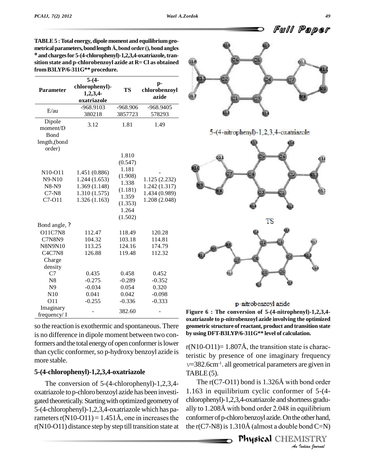|  | <b>D</b> Full Paper |  |
|--|---------------------|--|
|  |                     |  |

| Parameter                                    | $5-(4-$<br>chlorophenyl)-<br>1,2,3,4<br>oxatriazole | <b>TS</b>                            | p-<br>chlorobenzoyl<br>azide |
|----------------------------------------------|-----------------------------------------------------|--------------------------------------|------------------------------|
| E/au                                         | -968.9103                                           | $-968.906$                           | -968.9405                    |
|                                              | 380218                                              | 3857723                              | 578293                       |
| Dipole<br>moment/D<br>Bond                   | 3.12                                                | 1.81                                 | 1.49                         |
| length, (bond<br>order)                      |                                                     |                                      |                              |
| N10-O11                                      | 1.451 (0.886)                                       | 1.810<br>(0.547)<br>1.181<br>(1.908) |                              |
| N9-N10                                       | 1.244(1.653)                                        | 1.338                                | 1.125(2.232)                 |
| N8-N9                                        | 1.369(1.148)                                        | (1.181)                              | 1.242 (1.317)                |
| $C7-NS$                                      | 1.310(1.575)                                        | 1.359                                | 1.434 (0.989)                |
| C7-O11                                       | 1.326(1.163)                                        | (1.353)                              | 1.208 (2.048)                |
|                                              |                                                     | 1.264                                |                              |
|                                              |                                                     | (1.502)                              |                              |
| Bond angle, ?                                |                                                     |                                      |                              |
| <b>O11C7N8</b>                               | 112.47                                              | 118.49                               | 120.28                       |
| <b>C7N8N9</b>                                | 104.32                                              | 103.18                               | 114.81                       |
| N8N9N10                                      | 113.25                                              | 124.16                               | 174.79                       |
| C <sub>4</sub> C <sub>7</sub> N <sub>8</sub> | 126.88                                              | 119.48                               | 112.32                       |
| Charge                                       |                                                     |                                      |                              |
| density                                      |                                                     |                                      |                              |
| C7                                           | 0.435                                               | 0.458                                | 0.452                        |
| N <sub>8</sub>                               | $-0.275$                                            | $-0.289$                             | $-0.352$                     |
| N9                                           | $-0.034$                                            | 0.054                                | 0.320                        |
| N10                                          | 0.041                                               | 0.042                                | $-0.098$                     |
| O11                                          | $-0.255$                                            | $-0.336$                             | $-0.333$                     |
| Imaginary<br>frequency/ I                    |                                                     | 382.60                               |                              |

**TABLE5 :Total energy, dipole moment and equilibriumgeo metrical parameters, bond length** Å, bond order (), bond angles **andchargesfor 5-(4-chlorophenyl)-1,2,3,4-oxatriazole,tran sition state and p-chlorobenzoyl azide at R= Cl as obtained fromB3LYP/6-311G\*\* procedure.**

**by using DFT-B3LYP/6-311G<sup>\*\*</sup> level of calculation.**<br>is no difference in dipole moment between two con-<br>**by** using **DFT-B3LYP/6-311G<sup>\*\*</sup> level of calculation.** is no difference in dipole moment between two conformers and the total energy of open conformer is lower than cyclic conformer, so p-hydroxy benzoyl azide is more stable.

## **5-(4-chlorophenyl)-1,2,3,4-oxatriazole**

The conversion of 5-(4-chlorophenyl)-1,2,3,4 oxatriazole to p-chloro benzoyl azide has been investi gated theoretically. Starting with optimized geometry of chloro<br>5-(4-chlorophenyl)-1,2,3,4-oxatriazole which has pa-ally to<br>rameters r(N10-O11) = 1.451Å, one in increases the confor 5-(4-chlorophenyl)-1,2,3,4-oxatriazole which has pa-<br>ally to 1.208Å with bond order 2.048 in equilibrium r(N10-O11) distance step by step till transition state at







### p-nitrobenzoyl azide

- 382.60 - **Figure 6 : The conversion of 5-(4-nitrophenyl)-1,2,3,4 oxatriazole to p-nitrobenzoyl azide involving the optimized geometric structure of reactant, product and transition state**

 $r(N10-O11)= 1.807\text{\AA}$ , the transition state is characteristic by presence of one imaginary frequency *v*=382.6cm<sup>-1</sup>. all geometrical parameters are given in<br>TABLE (5).<br>The r(C7-O11) bond is 1.326Å with bond order  $TABLE (5)$ .

chlorophenyl)-1,2,3,4-oxatriazole and shortness gradu-<br>
ally to 1.208Å with bond order 2.048 in equilibrium<br>
conformer of p-chloro benzoyl azide. On the other hand,<br>
the r(C7-N8) is 1.310Å (almost a double bond C=N)<br> **Phys** 1.163 in equilibrium cyclic conformer of 5-(4- 1.163 in equilibrium cyclic conformer of 5-(4-<br>chlorophenyl)-1,2,3,4-oxatriazole and shortness gradu-<br>ally to 1.208Å with bond order 2.048 in equilibrium conformer of p-chloro benzoyl azide. On the other hand, the r(C7-N8) is  $1.310\text{\AA}$  (almost a double bond C=N)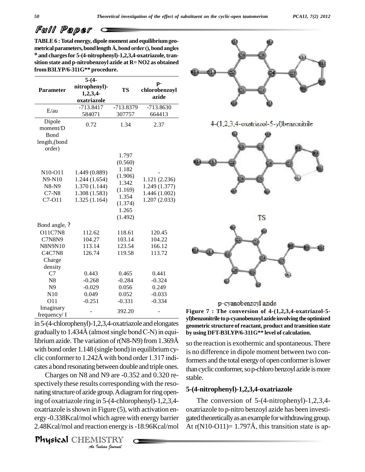**TABLE6 :Total energy, dipole moment and equilibriumgeo metrical parameters, bond length** Å, bond order (), bond angles **and chargesfor 5-(4-nitrophenyl)-1,2,3,4-oxatriazole,tran sition state and p-nitrobenzoyl azide at R= NO2 as obtained fromB3LYP/6-311G\*\* procedure.**

|                                                                          | $5-(4-$                                                                          |                                                                                                  |                                                                 |          |
|--------------------------------------------------------------------------|----------------------------------------------------------------------------------|--------------------------------------------------------------------------------------------------|-----------------------------------------------------------------|----------|
| <b>Parameter</b>                                                         | nitrophenyl)-<br>1,2,3,4<br>oxatriazole                                          | <b>TS</b>                                                                                        | p-<br>chlorobenzoyl<br>azide                                    |          |
| E/au                                                                     | $-713.8417$                                                                      | -713.8379                                                                                        | $-713.8630$                                                     |          |
|                                                                          | 584071                                                                           | 307757                                                                                           | 664413                                                          |          |
| Dipole<br>moment/D<br>Bond<br>length, (bond<br>order)                    | 0.72                                                                             | 1.34                                                                                             | 2.37                                                            |          |
| N <sub>10</sub> -O <sub>11</sub><br>N9-N10<br>N8-N9<br>$C7-N8$<br>C7-011 | 1.449 (0.889)<br>1.244(1.654)<br>1.370 (1.144)<br>1.308 (1.583)<br>1.325 (1.164) | 1.797<br>(0.560)<br>1.182<br>(1.906)<br>1.342<br>(1.169)<br>1.354<br>(1.374)<br>1.265<br>(1.492) | 1.121 (2.236)<br>1.249 (1.377)<br>1.446 (1.002)<br>1.207(2.033) |          |
| Bond angle, ?                                                            |                                                                                  |                                                                                                  |                                                                 |          |
| <b>O11C7N8</b>                                                           | 112.62                                                                           | 118.61                                                                                           | 120.45                                                          |          |
| <b>C7N8N9</b>                                                            | 104.27                                                                           | 103.14                                                                                           | 104.22                                                          |          |
| <b>N8N9N10</b><br>C4C7N8                                                 | 113.14<br>126.74                                                                 | 123.54<br>119.58                                                                                 | 166.12<br>113.72                                                |          |
| Charge<br>density                                                        |                                                                                  |                                                                                                  |                                                                 |          |
| C7                                                                       | 0.443                                                                            | 0.465                                                                                            | 0.441                                                           |          |
| N8                                                                       | $-0.268$                                                                         | $-0.284$                                                                                         | $-0.324$                                                        |          |
| N <sub>9</sub>                                                           | $-0.029$                                                                         | 0.056                                                                                            | 0.249                                                           |          |
| N10                                                                      | 0.049                                                                            | 0.052                                                                                            | $-0.033$                                                        |          |
| O11                                                                      | $-0.251$                                                                         | $-0.331$                                                                                         | $-0.334$                                                        |          |
| Imaginary<br>frequency/ I                                                |                                                                                  | 392.20                                                                                           |                                                                 | Fi,<br>m |

in 5-(4-chlorophenyl)-1,2,3,4-oxatriazole and elongates  $\frac{9}{900}$  $\begin{array}{cc}\n\text{frequency/ I} & \text{392.20} \\
\text{in 5-(4-chlorophenyl)-1,2,3,4-oxatriazole and elongates} & \text{g} \\
\text{gradually to 1.434Å (almost single bond C-N) in equi-} & \text{b}\n\end{array}$ gradually to  $1.434\text{\AA}$  (almost single bond C-N) in equiwith bond order 1.148 (single bond) in equilibrium cylibrium azide. The variation of  $r(N8-N9)$  from 1.369Å<br>with bond order 1.148 (single bond) in equilibrium cy-<br>clic conformer to 1.242Å with bond order 1.317 indicates abond resonating between double and triple ones.

*An*ing of oxatriazole ring in 5-(4-chlorophenyl)-1,2,3,4- *In 5-(4-chlor*<br>*In 5-(4-chlor*<br>*Indian energy i*<br>*IISTRY*<br>*Indian fournal* Charges on N8 and N9 are -0.352 and 0.320 re spectively these results corresponding with the reso nating structure of azide group. A diagram for ring open- $\alpha$ xatriazole is shown in Figure (5), with activation energy -0.338Kcal/mol which agree with energy barrier 2.48Kcal/mol and reaction energy is-18.96Kcal/mol

Physical CHEMISTRY



#### p-cyanobenzoyl azide

Figure  $7$  : The conversion of  $4-(1,2,3,4)$ -oxatriazol-5**yl)benzonitrile top-cyanobenzoylazide involving theoptimized geometric structure of reactant, product and transition state by using DFT-B3LYP/6-311G\*\* level of calculation.**

so the reaction is exothermic and spontaneous. There is no difference in dipole moment between two conformers and the total energy of open conformer is lower than cyclic conformer, so p-chloro benzoyl azide is more stable.

#### **5-(4-nitrophenyl)-1,2,3,4-oxatriazole**

The conversion of  $5-(4-nitrophenyl)-1,2,3,4$ oxatriazole to p-nitro benzoyl azide has been investi gated theoretically as an example for withdrawing group. At  $r(N10-O11)= 1.797\text{\AA}$ , this transition state is ap-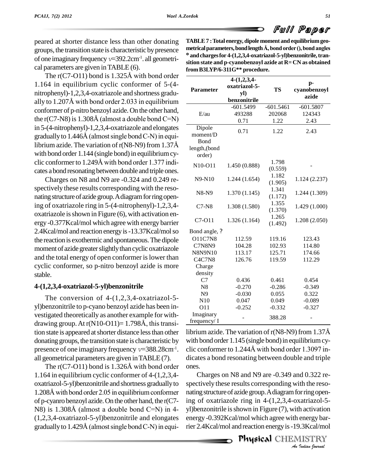

peared at shorter distance less than other donating groups, the transition state is characteristic bypresence % of one imaginary frequency  $v=392.2 \text{cm}^{-1}$ . all geometrical parameters are given in TABLE (6).<br>The r(C7-O11) bond is 1.325Å with bond order cal parameters are given inTABLE (6).

1.164 in equilibrium cyclic conformer of 5-(4 nitrophenyl)-1,2,3,4-oxatriazole and shortness gradu- 1.164 in equilibrium cyclic conformer of 5-(4-<br>nitrophenyl)-1,2,3,4-oxatriazole and shortness gradu-<br>ally to 1.207Å with bond order 2.033 in equilibrium conformer of p-nitro benzoyl azide.On the other hand, ally to 1.207Å with bond order 2.033 in equilibrium<br>conformer of p-nitro benzoyl azide. On the other hand,<br>the r(C7-N8) is 1.308Å (almost a double bond C=N) in 5-(4-nitrophenyl)-1,2,3,4-oxatriazole and elongates the r(C7-N8) is 1.308Å (almost a double bond C=N) in 5-(4-nitrophenyl)-1,2,3,4-oxatriazole and elongates gradually to 1.446Å (almost single bond C-N) in equiin 5-(4-nitrophenyl)-1,2,3,4-oxatriazole and elongates  $\overline{\text{Dipole}}$ <br>gradually to 1.446Å (almost single bond C-N) in equi-<br>librium azide. The variation of r(N8-N9) from 1.37Å with bond order 1.144 (single bond) in equilibrium cylibrium azide. The variation of  $r(N8-N9)$  from 1.37Å<br>with bond order 1.144 (single bond) in equilibrium cy-<br>clic conformer to 1.249Å with bond order 1.377 indicates abond resonating between double and triple ones.

Charges on N8 and N9 are -0.324 and 0.249 re spectively these results corresponding with the reso nating structure of azide group. A diagram for ring opening of oxatriazole ring in 5-(4-nitrophenyl)-1,2,3,4-  $\alpha$ xatriazole is shown in Figure  $(6)$ , with activation energy -0.377Kcal/mol which agree with energy barrier 2.4Kcal/mol and reaction energyis-13.37Kcal/molso the reaction is exothermic and spontaneous.The dipole moment of azide greater slightly than cyclic oxatriazole and the total energy of open conformer is lower than cyclic conformer, so p-nitro benzoyl azide is more stable.

## **4-(1,2,3,4-oxatriazol-5-yl)benzonitrile**

The conversion of 4-(1,2,3,4-oxatriazol-5 vestigated theoretically as another example for withyl)benzonitrile to p-cyano benzoyl azide has been investigated theoretically as another example for with-<br>drawing group. At  $r(N10-O11)=1.798\text{\AA}$ , this transition state is appeared at shorter distance less than other donating groups, the transition state is characteristic by presence of one imaginary frequency *v*=388.28cm<sup>-1</sup>. clic<br>all geometrical parameters are given in TABLE (7). dica<br>The r(C7-O11) bond is 1.326Å with bond order one all geometrical parameters are given inTABLE(7).

1.164 in equilibrium cyclic conformer of 4-(1,2,3,4-<br>oxatriazol-5-yl)benzonitrile and shortness gradually to spee<br>1.208Å with bond order 2.05 in equilibrium conformer nati oxatriazol-5-yl)benzonitrile and shortness graduallyto of p-cyanro benzoyl azide.On the other hand, the r(C7-  $1.208\text{\AA}$  with bond order 2.05 in equilibrium conformer (1,2,3,4-oxatriazol-5-yl)benzonitrile and elongates N8) is 1.308Å (almost a double bond C=N) in 4-<br>(1,2,3,4-oxatriazol-5-yl)benzonitrile and elongates<br>gradually to 1.429Å (almost single bond C-N) in equi-

| יש שוני ייני יי                                                             |
|-----------------------------------------------------------------------------|
| TABLE 7: Total energy, dipole moment and equilibrium geo-                   |
| metrical parameters, bond length Å, bond order (), bond angles              |
| <sup>o</sup> and charges for 4-(1,2,3,4-oxatriazol-5-yl)benzonitrile, tran- |
| sition state and p-cyanobenzoyl azide at R= CN as obtained                  |
| from B3LYP/6-311G** procedure.                                              |

| <b>Parameter</b>          | $4-(1,2,3,4-$<br>oxatriazol-5-<br>yl) | TS               | p-<br>cyanobenzoyl |
|---------------------------|---------------------------------------|------------------|--------------------|
|                           | benzonitrile                          |                  | azide              |
|                           | $-601.5499$                           | $-601.5461$      | $-601.5807$        |
| E/au                      | 493288                                | 202068           | 124343             |
|                           | 0.71                                  | 1.22             | 2.43               |
| Dipole<br>moment/D        | 0.71                                  | 1.22             | 2.43               |
| <b>B</b> ond              |                                       |                  |                    |
| length, (bond<br>order)   |                                       |                  |                    |
| N10-O11                   | 1.450 (0.888)                         | 1.798<br>(0.559) |                    |
| N9-N10                    | 1.244(1.654)                          | 1.182<br>(1.905) | 1.124 (2.237)      |
| N8-N9                     | 1.370(1.145)                          | 1.341<br>(1.172) | 1.244 (1.309)      |
| $C7-N8$                   | 1.308 (1.580)                         | 1.355<br>(1.370) | 1.429 (1.000)      |
| C7-011                    | 1.326(1.164)                          | 1.265<br>(1.492) | 1.208 (2.050)      |
| Bond angle, ?             |                                       |                  |                    |
| <b>O11C7N8</b>            | 112.59                                | 119.16           | 123.43             |
| <b>C7N8N9</b>             | 104.28                                | 102.93           | 114.80             |
| <b>N8N9N10</b>            | 113.17                                | 125.71           | 174.66             |
| <b>C4C7N8</b>             | 126.76                                | 119.59           | 112.29             |
| Charge                    |                                       |                  |                    |
| density                   |                                       |                  |                    |
| C7                        | 0.436                                 | 0.461            | 0.454              |
| N <sub>8</sub>            | $-0.270$                              | $-0.286$         | $-0.349$           |
| N <sub>9</sub>            | $-0.030$                              | 0.055            | 0.322              |
| N10                       | 0.047                                 | 0.049            | $-0.089$           |
| 011                       | $-0.252$                              | $-0.332$         | $-0.327$           |
| Imaginary<br>frequency/ I |                                       | 388.28           |                    |

clic conformer to 1.244Å with bond order 1.3097 inlibrium azide. The variation of  $r(N8-N9)$  from 1.37Å with bond order 1.145 (single bond) in equilibrium cylibrium azide. The variation of r(N8-N9) from 1.37Å<br>with bond order 1.145 (single bond) in equilibrium cy-<br>clic conformer to 1.244Å with bond order 1.3097 indicates a bond resonating between double and triple

*An*ing ofoxatriazole ring in 4-(1,2,3,4-oxatriazol-5- *I*<br>*In* activation<br>**Indian** *Journal*<br>**I** ISTRY<br>*Indian Sournal* ones.<br>Charges on N8 and N9 are -0.349 and 0.322 respectively these results corresponding with the reso nating structure of azide group. A diagram for ring openyl)benzonitrile is shown in Figure (7), with activation energy -0.392Kcal/mol which agree with energy barrier 2.4Kcal/mol and reaction energyis-19.3Kcal/mol